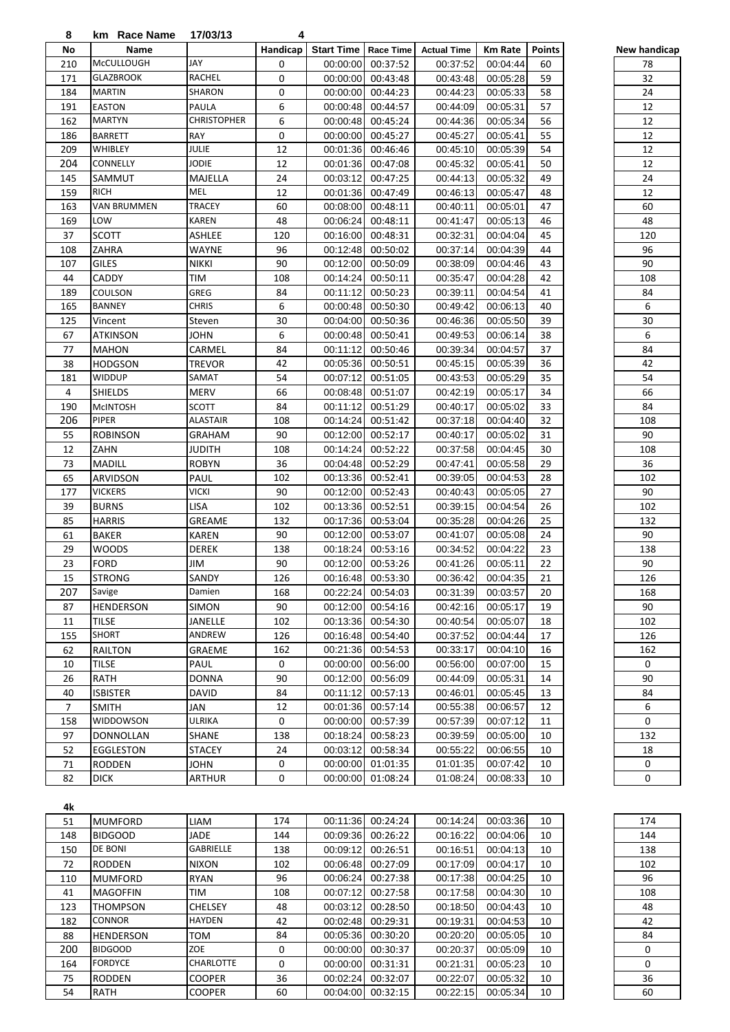| 8              | km Race Name      | 17/03/13           | 4        |                   |                   |                    |                |               |
|----------------|-------------------|--------------------|----------|-------------------|-------------------|--------------------|----------------|---------------|
| No             | Name              |                    | Handicap | <b>Start Time</b> | <b>Race Time</b>  | <b>Actual Time</b> | <b>Km Rate</b> | <b>Points</b> |
| 210            | <b>McCULLOUGH</b> | JAY                | 0        | 00:00:00          | 00:37:52          | 00:37:52           | 00:04:44       | 60            |
| 171            | <b>GLAZBROOK</b>  | RACHEL             | 0        | 00:00:00          | 00:43:48          | 00:43:48           | 00:05:28       | 59            |
| 184            | <b>MARTIN</b>     | SHARON             | 0        | 00:00:00          | 00:44:23          | 00:44:23           | 00:05:33       | 58            |
| 191            | <b>EASTON</b>     | PAULA              | 6        | 00:00:48          | 00:44:57          | 00:44:09           | 00:05:31       | 57            |
| 162            | <b>MARTYN</b>     | <b>CHRISTOPHER</b> | 6        | 00:00:48          | 00:45:24          | 00:44:36           | 00:05:34       | 56            |
| 186            | <b>BARRETT</b>    | <b>RAY</b>         | 0        | 00:00:00          | 00:45:27          | 00:45:27           | 00:05:41       | 55            |
|                |                   |                    |          |                   |                   |                    |                |               |
| 209            | WHIBLEY           | JULIE              | 12       | 00:01:36          | 00:46:46          | 00:45:10           | 00:05:39       | 54            |
| 204            | CONNELLY          | <b>JODIE</b>       | 12       | 00:01:36          | 00:47:08          | 00:45:32           | 00:05:41       | 50            |
| 145            | SAMMUT            | MAJELLA            | 24       | 00:03:12          | 00:47:25          | 00:44:13           | 00:05:32       | 49            |
| 159            | <b>RICH</b>       | MEL                | 12       | 00:01:36          | 00:47:49          | 00:46:13           | 00:05:47       | 48            |
| 163            | VAN BRUMMEN       | <b>TRACEY</b>      | 60       | 00:08:00          | 00:48:11          | 00:40:11           | 00:05:01       | 47            |
| 169            | LOW               | <b>KAREN</b>       | 48       | 00:06:24          | 00:48:11          | 00:41:47           | 00:05:13       | 46            |
| 37             | <b>SCOTT</b>      | ASHLEE             | 120      | 00:16:00          | 00:48:31          | 00:32:31           | 00:04:04       | 45            |
| 108            | ZAHRA             | WAYNE              | 96       | 00:12:48          | 00:50:02          | 00:37:14           | 00:04:39       | 44            |
| 107            | <b>GILES</b>      | <b>NIKKI</b>       | 90       | 00:12:00          | 00:50:09          | 00:38:09           | 00:04:46       | 43            |
| 44             | CADDY             | TIM                | 108      | 00:14:24          | 00:50:11          | 00:35:47           | 00:04:28       | 42            |
|                |                   |                    | 84       |                   | 00:50:23          | 00:39:11           | 00:04:54       |               |
| 189            | COULSON           | GREG               |          | 00:11:12          |                   |                    |                | 41            |
| 165            | <b>BANNEY</b>     | <b>CHRIS</b>       | 6        | 00:00:48          | 00:50:30          | 00:49:42           | 00:06:13       | 40            |
| 125            | Vincent           | Steven             | 30       | 00:04:00          | 00:50:36          | 00:46:36           | 00:05:50       | 39            |
| 67             | <b>ATKINSON</b>   | <b>JOHN</b>        | 6        | 00:00:48          | 00:50:41          | 00:49:53           | 00:06:14       | 38            |
| 77             | <b>MAHON</b>      | CARMEL             | 84       | 00:11:12          | 00:50:46          | 00:39:34           | 00:04:57       | 37            |
| 38             | <b>HODGSON</b>    | <b>TREVOR</b>      | 42       | 00:05:36          | 00:50:51          | 00:45:15           | 00:05:39       | 36            |
| 181            | WIDDUP            | SAMAT              | 54       | 00:07:12          | 00:51:05          | 00:43:53           | 00:05:29       | 35            |
| 4              | <b>SHIELDS</b>    | <b>MERV</b>        | 66       | 00:08:48          | 00:51:07          | 00:42:19           | 00:05:17       | 34            |
| 190            | <b>MCINTOSH</b>   | SCOTT              | 84       | 00:11:12          | 00:51:29          | 00:40:17           | 00:05:02       | 33            |
| 206            | PIPER             | <b>ALASTAIR</b>    | 108      | 00:14:24          | 00:51:42          | 00:37:18           | 00:04:40       | 32            |
| 55             | <b>ROBINSON</b>   | <b>GRAHAM</b>      | 90       | 00:12:00          | 00:52:17          | 00:40:17           | 00:05:02       | 31            |
| 12             | ZAHN              | <b>JUDITH</b>      | 108      | 00:14:24          | 00:52:22          | 00:37:58           | 00:04:45       | 30            |
| 73             |                   |                    | 36       |                   |                   |                    |                |               |
|                | <b>MADILL</b>     | <b>ROBYN</b>       |          | 00:04:48          | 00:52:29          | 00:47:41           | 00:05:58       | 29            |
| 65             | ARVIDSON          | PAUL               | 102      | 00:13:36          | 00:52:41          | 00:39:05           | 00:04:53       | 28            |
| 177            | <b>VICKERS</b>    | <b>VICKI</b>       | 90       | 00:12:00          | 00:52:43          | 00:40:43           | 00:05:05       | 27            |
| 39             | <b>BURNS</b>      | <b>LISA</b>        | 102      | 00:13:36          | 00:52:51          | 00:39:15           | 00:04:54       | 26            |
| 85             | <b>HARRIS</b>     | GREAME             | 132      | 00:17:36          | 00:53:04          | 00:35:28           | 00:04:26       | 25            |
| 61             | <b>BAKER</b>      | <b>KAREN</b>       | 90       | 00:12:00          | 00:53:07          | 00:41:07           | 00:05:08       | 24            |
| 29             | <b>WOODS</b>      | <b>DEREK</b>       | 138      | 00:18:24          | 00:53:16          | 00:34:52           | 00:04:22       | 23            |
| 23             | <b>FORD</b>       | JIM                | 90       |                   | 00:12:00 00:53:26 | 00:41:26           | 00:05:11       | 22            |
| 15             | <b>STRONG</b>     | SANDY              | 126      |                   | 00:16:48 00:53:30 | 00:36:42           | 00:04:35       | 21            |
| 207            | Savige            | Damien             | 168      | 00:22:24          | 00:54:03          | 00:31:39           | 00:03:57       | 20            |
| 87             | <b>HENDERSON</b>  | SIMON              | 90       | 00:12:00          | 00:54:16          | 00:42:16           | 00:05:17       | 19            |
| 11             | <b>TILSE</b>      | JANELLE            | 102      | 00:13:36          | 00:54:30          | 00:40:54           | 00:05:07       | 18            |
| 155            | <b>SHORT</b>      | ANDREW             | 126      | 00:16:48          | 00:54:40          | 00:37:52           | 00:04:44       | 17            |
|                |                   |                    |          |                   |                   |                    |                |               |
| 62             | <b>RAILTON</b>    | GRAEME             | 162      | 00:21:36          | 00:54:53          | 00:33:17           | 00:04:10       | 16            |
| 10             | TILSE             | PAUL               | 0        | 00:00:00          | 00:56:00          | 00:56:00           | 00:07:00       | 15            |
| 26             | RATH              | <b>DONNA</b>       | 90       | 00:12:00          | 00:56:09          | 00:44:09           | 00:05:31       | 14            |
| 40             | <b>ISBISTER</b>   | <b>DAVID</b>       | 84       | 00:11:12          | 00:57:13          | 00:46:01           | 00:05:45       | 13            |
| $\overline{7}$ | <b>SMITH</b>      | JAN                | 12       | 00:01:36          | 00:57:14          | 00:55:38           | 00:06:57       | 12            |
| 158            | WIDDOWSON         | ULRIKA             | 0        | 00:00:00          | 00:57:39          | 00:57:39           | 00:07:12       | 11            |
| 97             | DONNOLLAN         | SHANE              | 138      | 00:18:24          | 00:58:23          | 00:39:59           | 00:05:00       | 10            |
| 52             | EGGLESTON         | <b>STACEY</b>      | 24       | 00:03:12          | 00:58:34          | 00:55:22           | 00:06:55       | 10            |
| 71             | <b>RODDEN</b>     | <b>JOHN</b>        | 0        | 00:00:00          | 01:01:35          | 01:01:35           | 00:07:42       | 10            |
| 82             | <b>DICK</b>       | <b>ARTHUR</b>      | 0        | 00:00:00          | 01:08:24          | 01:08:24           | 00:08:33       | 10            |
|                |                   |                    |          |                   |                   |                    |                |               |
|                |                   |                    |          |                   |                   |                    |                |               |
| 4k             |                   |                    |          |                   |                   |                    |                |               |
| 51             | <b>MUMFORD</b>    | LIAM               | 174      |                   | 00:11:36 00:24:24 | 00:14:24           | 00:03:36       | 10            |
| 148            | <b>BIDGOOD</b>    | JADE               | 144      |                   | 00:09:36 00:26:22 | 00:16:22           | 00:04:06       | 10            |
| 150            | DE BONI           | GABRIELLE          | 138      |                   | 00:09:12 00:26:51 | 00:16:51           | 00:04:13       | 10            |

| handicap<br>New  |
|------------------|
| 78               |
| 32               |
| .<br>24          |
| 12               |
| 12               |
| 12               |
| 12               |
| $\overline{12}$  |
| _<br>24          |
| 12               |
| 60               |
| 48               |
| 120              |
| 96               |
| 90               |
| 108              |
| 84               |
| $\boldsymbol{6}$ |
| 30               |
| 6                |
| 84<br>42         |
| $\overline{5}$ 4 |
| 66               |
| 84               |
| 108              |
| 90               |
| 108              |
| 36               |
| 102              |
| 90               |
| 102              |
| 132              |
| 90               |
| 138              |
| 90               |
| 126              |
| 168              |
| 90               |
| 102              |
| 126              |
| 162              |
| $\pmb{0}$        |
| 90               |
| 84               |
| 6                |
| 0                |
| 132              |
| 18               |
| 0                |
| 0                |

| 51  | <b>MUMFORD</b>   | <b>LIAM</b>      | 174      | 00:11:36 | 00:24:24 | 00:14:24 | 00:03:36 | 10 | 174 |
|-----|------------------|------------------|----------|----------|----------|----------|----------|----|-----|
| 148 | <b>BIDGOOD</b>   | JADE             | 144      | 00:09:36 | 00:26:22 | 00:16:22 | 00:04:06 | 10 | 144 |
| 150 | <b>DE BONI</b>   | <b>GABRIELLE</b> | 138      | 00:09:12 | 00:26:51 | 00:16:51 | 00:04:13 | 10 | 138 |
| 72  | <b>RODDEN</b>    | <b>NIXON</b>     | 102      | 00:06:48 | 00:27:09 | 00:17:09 | 00:04:17 | 10 | 102 |
| 110 | <b>MUMFORD</b>   | <b>RYAN</b>      | 96       | 00:06:24 | 00:27:38 | 00:17:38 | 00:04:25 | 10 | 96  |
| 41  | <b>MAGOFFIN</b>  | TIM              | 108      | 00:07:12 | 00:27:58 | 00:17:58 | 00:04:30 | 10 | 108 |
| 123 | <b>THOMPSON</b>  | <b>CHELSEY</b>   | 48       | 00:03:12 | 00:28:50 | 00:18:50 | 00:04:43 | 10 | 48  |
| 182 | <b>CONNOR</b>    | <b>HAYDEN</b>    | 42       | 00:02:48 | 00:29:31 | 00:19:31 | 00:04:53 | 10 | 42  |
| 88  | <b>HENDERSON</b> | <b>TOM</b>       | 84       | 00:05:36 | 00:30:20 | 00:20:20 | 00:05:05 | 10 | 84  |
| 200 | <b>BIDGOOD</b>   | <b>ZOE</b>       | 0        | 00:00:00 | 00:30:37 | 00:20:37 | 00:05:09 | 10 | 0   |
| 164 | <b>FORDYCE</b>   | <b>CHARLOTTE</b> | $\Omega$ | 00:00:00 | 00:31:31 | 00:21:31 | 00:05:23 | 10 | 0   |
| 75  | <b>RODDEN</b>    | <b>COOPER</b>    | 36       | 00:02:24 | 00:32:07 | 00:22:07 | 00:05:32 | 10 | 36  |
| 54  | <b>RATH</b>      | <b>COOPER</b>    | 60       | 00:04:00 | 00:32:15 | 00:22:15 | 00:05:34 | 10 | 60  |